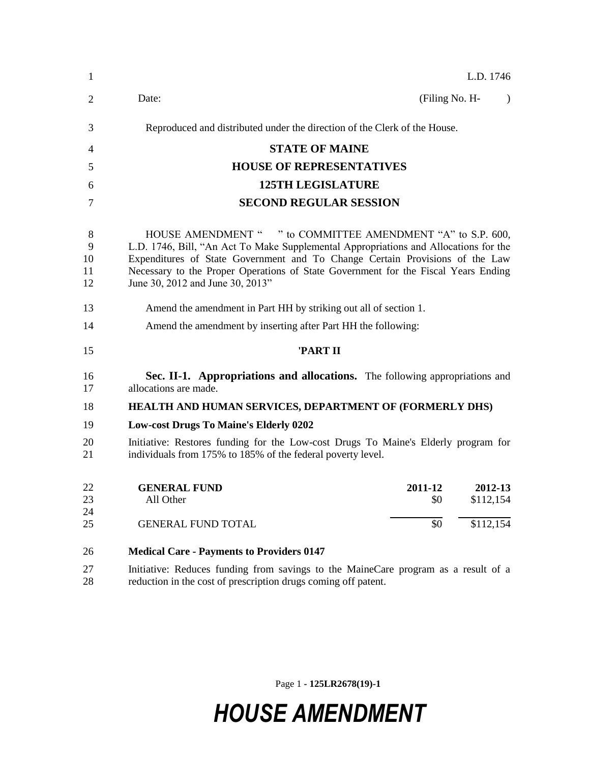| 1                        | L.D. 1746                                                                                                                                                                                                                                                                                                                                                     |  |  |  |
|--------------------------|---------------------------------------------------------------------------------------------------------------------------------------------------------------------------------------------------------------------------------------------------------------------------------------------------------------------------------------------------------------|--|--|--|
| $\overline{2}$           | (Filing No. H-<br>Date:<br>$\lambda$                                                                                                                                                                                                                                                                                                                          |  |  |  |
| 3                        | Reproduced and distributed under the direction of the Clerk of the House.                                                                                                                                                                                                                                                                                     |  |  |  |
| 4                        | <b>STATE OF MAINE</b>                                                                                                                                                                                                                                                                                                                                         |  |  |  |
| 5                        | <b>HOUSE OF REPRESENTATIVES</b>                                                                                                                                                                                                                                                                                                                               |  |  |  |
| 6                        | <b>125TH LEGISLATURE</b>                                                                                                                                                                                                                                                                                                                                      |  |  |  |
| 7                        | <b>SECOND REGULAR SESSION</b>                                                                                                                                                                                                                                                                                                                                 |  |  |  |
| 8<br>9<br>10<br>11<br>12 | HOUSE AMENDMENT " " to COMMITTEE AMENDMENT "A" to S.P. 600,<br>L.D. 1746, Bill, "An Act To Make Supplemental Appropriations and Allocations for the<br>Expenditures of State Government and To Change Certain Provisions of the Law<br>Necessary to the Proper Operations of State Government for the Fiscal Years Ending<br>June 30, 2012 and June 30, 2013" |  |  |  |
| 13                       | Amend the amendment in Part HH by striking out all of section 1.                                                                                                                                                                                                                                                                                              |  |  |  |
| 14                       | Amend the amendment by inserting after Part HH the following:                                                                                                                                                                                                                                                                                                 |  |  |  |
| 15                       | 'PART II                                                                                                                                                                                                                                                                                                                                                      |  |  |  |
| 16<br>17                 | Sec. II-1. Appropriations and allocations. The following appropriations and<br>allocations are made.                                                                                                                                                                                                                                                          |  |  |  |
| 18                       | HEALTH AND HUMAN SERVICES, DEPARTMENT OF (FORMERLY DHS)                                                                                                                                                                                                                                                                                                       |  |  |  |
| 19                       | <b>Low-cost Drugs To Maine's Elderly 0202</b>                                                                                                                                                                                                                                                                                                                 |  |  |  |
| 20<br>21                 | Initiative: Restores funding for the Low-cost Drugs To Maine's Elderly program for<br>individuals from 175% to 185% of the federal poverty level.                                                                                                                                                                                                             |  |  |  |
| 22<br>23<br>24           | <b>GENERAL FUND</b><br>2011-12<br>2012-13<br>All Other<br>\$0<br>\$112,154                                                                                                                                                                                                                                                                                    |  |  |  |
| 25                       | \$0<br>\$112,154<br><b>GENERAL FUND TOTAL</b>                                                                                                                                                                                                                                                                                                                 |  |  |  |
| 26                       | <b>Medical Care - Payments to Providers 0147</b>                                                                                                                                                                                                                                                                                                              |  |  |  |
| 27<br>28                 | Initiative: Reduces funding from savings to the MaineCare program as a result of a<br>reduction in the cost of prescription drugs coming off patent.                                                                                                                                                                                                          |  |  |  |

Page 1 **- 125LR2678(19)-1**

## *HOUSE AMENDMENT*